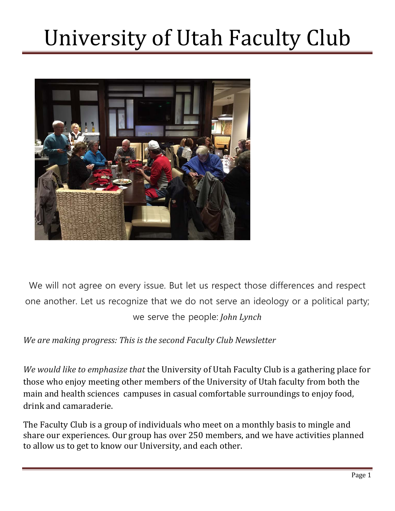### University of Utah Faculty Club



We will not agree on every issue. But let us respect those differences and respect one another. Let us recognize that we do not serve an ideology or a political party; we serve the people: *John Lynch*

*We are making progress: This is the second Faculty Club Newsletter*

*We* would like to emphasize that the University of Utah Faculty Club is a gathering place for those who enjoy meeting other members of the University of Utah faculty from both the main and health sciences campuses in casual comfortable surroundings to enjoy food, drink and camaraderie.

The Faculty Club is a group of individuals who meet on a monthly basis to mingle and share our experiences. Our group has over 250 members, and we have activities planned to allow us to get to know our University, and each other.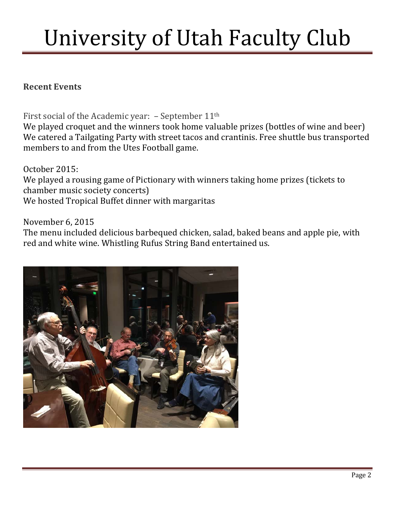# University of Utah Faculty Club

#### **Recent Events**

First social of the Academic year:  $-$  September  $11<sup>th</sup>$ We played croquet and the winners took home valuable prizes (bottles of wine and beer) We catered a Tailgating Party with street tacos and crantinis. Free shuttle bus transported

October 2015:

members to and from the Utes Football game.

We played a rousing game of Pictionary with winners taking home prizes (tickets to chamber music society concerts) We hosted Tropical Buffet dinner with margaritas

November 6, 2015

The menu included delicious barbequed chicken, salad, baked beans and apple pie, with red and white wine. Whistling Rufus String Band entertained us.